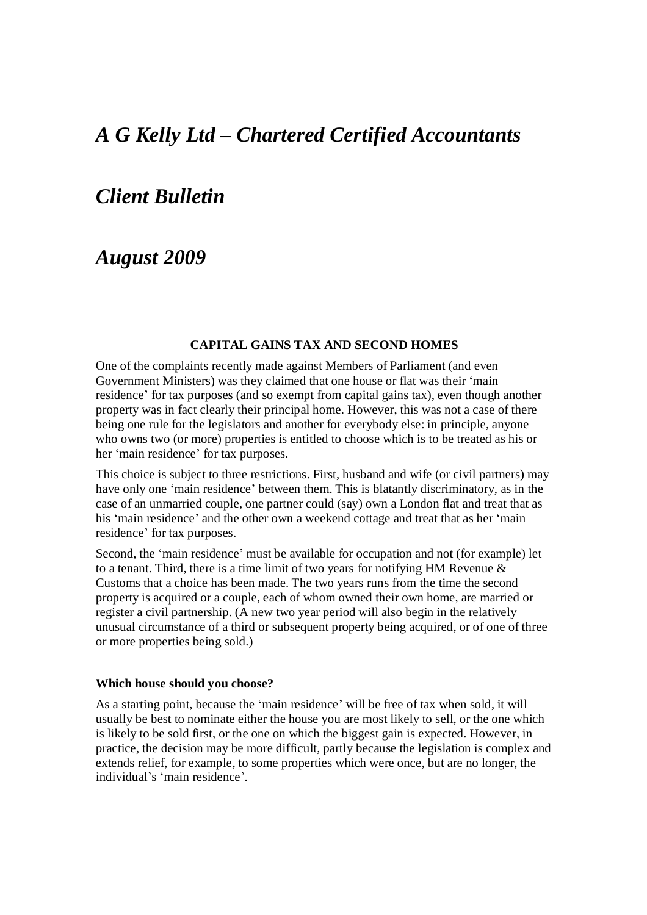# *A G Kelly Ltd – Chartered Certified Accountants*

### *Client Bulletin*

## *August 2009*

#### **CAPITAL GAINS TAX AND SECOND HOMES**

One of the complaints recently made against Members of Parliament (and even Government Ministers) was they claimed that one house or flat was their 'main residence' for tax purposes (and so exempt from capital gains tax), even though another property was in fact clearly their principal home. However, this was not a case of there being one rule for the legislators and another for everybody else: in principle, anyone who owns two (or more) properties is entitled to choose which is to be treated as his or her 'main residence' for tax purposes.

This choice is subject to three restrictions. First, husband and wife (or civil partners) may have only one 'main residence' between them. This is blatantly discriminatory, as in the case of an unmarried couple, one partner could (say) own a London flat and treat that as his 'main residence' and the other own a weekend cottage and treat that as her 'main residence' for tax purposes.

Second, the 'main residence' must be available for occupation and not (for example) let to a tenant. Third, there is a time limit of two years for notifying HM Revenue  $\&$ Customs that a choice has been made. The two years runs from the time the second property is acquired or a couple, each of whom owned their own home, are married or register a civil partnership. (A new two year period will also begin in the relatively unusual circumstance of a third or subsequent property being acquired, or of one of three or more properties being sold.)

#### **Which house should you choose?**

As a starting point, because the 'main residence' will be free of tax when sold, it will usually be best to nominate either the house you are most likely to sell, or the one which is likely to be sold first, or the one on which the biggest gain is expected. However, in practice, the decision may be more difficult, partly because the legislation is complex and extends relief, for example, to some properties which were once, but are no longer, the individual's 'main residence'.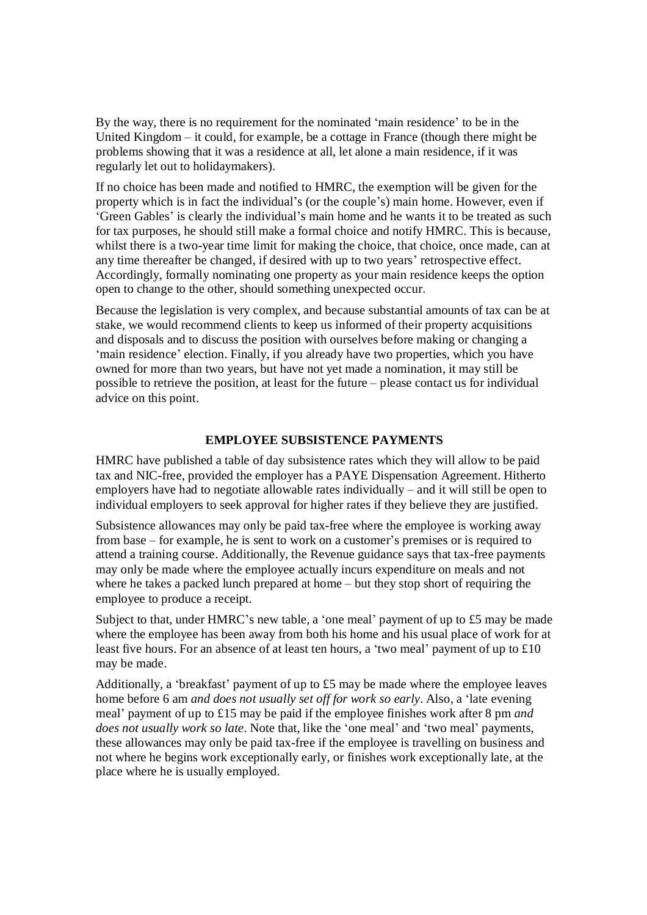By the way, there is no requirement for the nominated 'main residence' to be in the United Kingdom – it could, for example, be a cottage in France (though there might be problems showing that it was a residence at all, let alone a main residence, if it was regularly let out to holidaymakers).

If no choice has been made and notified to HMRC, the exemption will be given for the property which is in fact the individual's (or the couple's) main home. However, even if 'Green Gables' is clearly the individual's main home and he wants it to be treated as such for tax purposes, he should still make a formal choice and notify HMRC. This is because, whilst there is a two-year time limit for making the choice, that choice, once made, can at any time thereafter be changed, if desired with up to two years' retrospective effect. Accordingly, formally nominating one property as your main residence keeps the option open to change to the other, should something unexpected occur.

Because the legislation is very complex, and because substantial amounts of tax can be at stake, we would recommend clients to keep us informed of their property acquisitions and disposals and to discuss the position with ourselves before making or changing a 'main residence' election. Finally, if you already have two properties, which you have owned for more than two years, but have not yet made a nomination, it may still be possible to retrieve the position, at least for the future – please contact us for individual advice on this point.

#### **EMPLOYEE SUBSISTENCE PAYMENTS**

HMRC have published a table of day subsistence rates which they will allow to be paid tax and NIC-free, provided the employer has a PAYE Dispensation Agreement. Hitherto employers have had to negotiate allowable rates individually – and it will still be open to individual employers to seek approval for higher rates if they believe they are justified.

Subsistence allowances may only be paid tax-free where the employee is working away from base – for example, he is sent to work on a customer's premises or is required to attend a training course. Additionally, the Revenue guidance says that tax-free payments may only be made where the employee actually incurs expenditure on meals and not where he takes a packed lunch prepared at home – but they stop short of requiring the employee to produce a receipt.

Subject to that, under HMRC's new table, a 'one meal' payment of up to £5 may be made where the employee has been away from both his home and his usual place of work for at least five hours. For an absence of at least ten hours, a 'two meal' payment of up to £10 may be made.

Additionally, a 'breakfast' payment of up to £5 may be made where the employee leaves home before 6 am *and does not usually set off for work so early*. Also, a 'late evening meal' payment of up to £15 may be paid if the employee finishes work after 8 pm *and does not usually work so late*. Note that, like the 'one meal' and 'two meal' payments, these allowances may only be paid tax-free if the employee is travelling on business and not where he begins work exceptionally early, or finishes work exceptionally late, at the place where he is usually employed.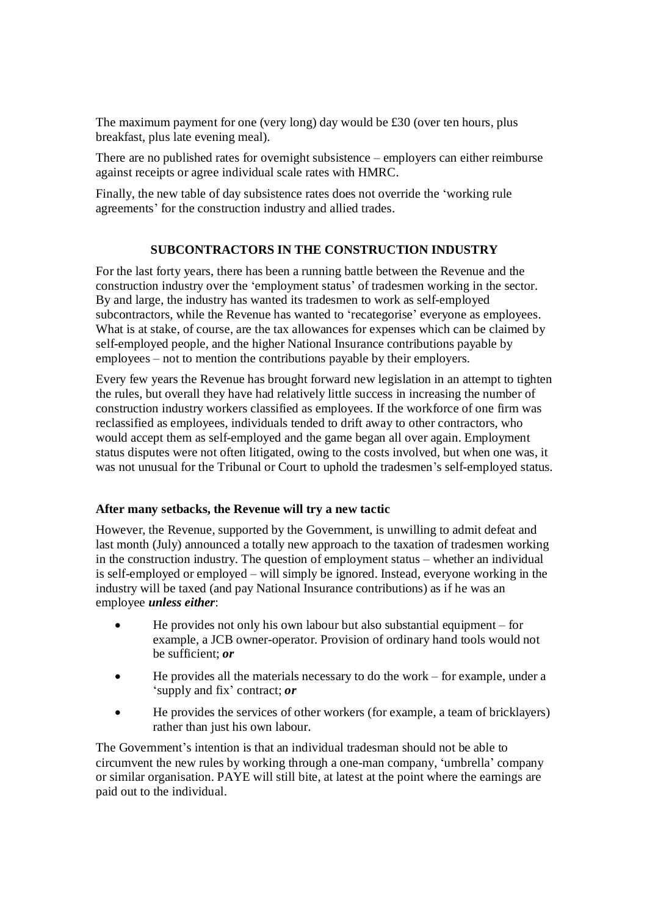The maximum payment for one (very long) day would be £30 (over ten hours, plus breakfast, plus late evening meal).

There are no published rates for overnight subsistence – employers can either reimburse against receipts or agree individual scale rates with HMRC.

Finally, the new table of day subsistence rates does not override the 'working rule agreements' for the construction industry and allied trades.

### **SUBCONTRACTORS IN THE CONSTRUCTION INDUSTRY**

For the last forty years, there has been a running battle between the Revenue and the construction industry over the 'employment status' of tradesmen working in the sector. By and large, the industry has wanted its tradesmen to work as self-employed subcontractors, while the Revenue has wanted to 'recategorise' everyone as employees. What is at stake, of course, are the tax allowances for expenses which can be claimed by self-employed people, and the higher National Insurance contributions payable by employees – not to mention the contributions payable by their employers.

Every few years the Revenue has brought forward new legislation in an attempt to tighten the rules, but overall they have had relatively little success in increasing the number of construction industry workers classified as employees. If the workforce of one firm was reclassified as employees, individuals tended to drift away to other contractors, who would accept them as self-employed and the game began all over again. Employment status disputes were not often litigated, owing to the costs involved, but when one was, it was not unusual for the Tribunal or Court to uphold the tradesmen's self-employed status.

#### **After many setbacks, the Revenue will try a new tactic**

However, the Revenue, supported by the Government, is unwilling to admit defeat and last month (July) announced a totally new approach to the taxation of tradesmen working in the construction industry. The question of employment status – whether an individual is self-employed or employed – will simply be ignored. Instead, everyone working in the industry will be taxed (and pay National Insurance contributions) as if he was an employee *unless either*:

- He provides not only his own labour but also substantial equipment for example, a JCB owner-operator. Provision of ordinary hand tools would not be sufficient; *or*
- He provides all the materials necessary to do the work for example, under a 'supply and fix' contract; *or*
- He provides the services of other workers (for example, a team of bricklayers) rather than just his own labour.

The Government's intention is that an individual tradesman should not be able to circumvent the new rules by working through a one-man company, 'umbrella' company or similar organisation. PAYE will still bite, at latest at the point where the earnings are paid out to the individual.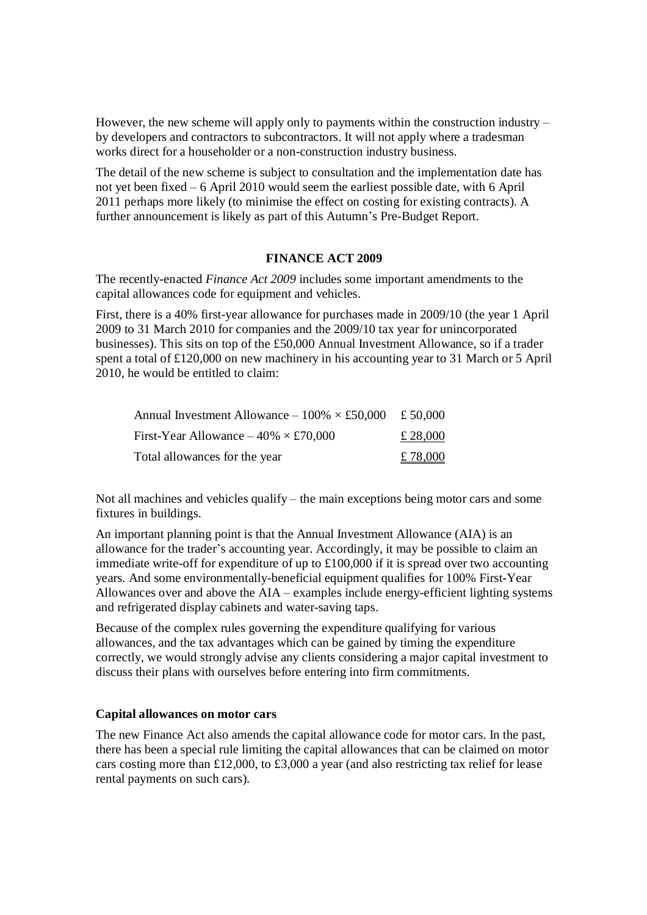However, the new scheme will apply only to payments within the construction industry – by developers and contractors to subcontractors. It will not apply where a tradesman works direct for a householder or a non-construction industry business.

The detail of the new scheme is subject to consultation and the implementation date has not yet been fixed – 6 April 2010 would seem the earliest possible date, with 6 April 2011 perhaps more likely (to minimise the effect on costing for existing contracts). A further announcement is likely as part of this Autumn's Pre-Budget Report.

#### **FINANCE ACT 2009**

The recently-enacted *Finance Act 2009* includes some important amendments to the capital allowances code for equipment and vehicles.

First, there is a 40% first-year allowance for purchases made in 2009/10 (the year 1 April 2009 to 31 March 2010 for companies and the 2009/10 tax year for unincorporated businesses). This sits on top of the £50,000 Annual Investment Allowance, so if a trader spent a total of £120,000 on new machinery in his accounting year to 31 March or 5 April 2010, he would be entitled to claim:

| Annual Investment Allowance – $100\% \times £50,000$ £ 50,000 |          |
|---------------------------------------------------------------|----------|
| First-Year Allowance $-40\% \times £70,000$                   | £ 28,000 |
| Total allowances for the year                                 | £ 78,000 |

Not all machines and vehicles qualify – the main exceptions being motor cars and some fixtures in buildings.

An important planning point is that the Annual Investment Allowance (AIA) is an allowance for the trader's accounting year. Accordingly, it may be possible to claim an immediate write-off for expenditure of up to £100,000 if it is spread over two accounting years. And some environmentally-beneficial equipment qualifies for 100% First-Year Allowances over and above the AIA – examples include energy-efficient lighting systems and refrigerated display cabinets and water-saving taps.

Because of the complex rules governing the expenditure qualifying for various allowances, and the tax advantages which can be gained by timing the expenditure correctly, we would strongly advise any clients considering a major capital investment to discuss their plans with ourselves before entering into firm commitments.

#### **Capital allowances on motor cars**

The new Finance Act also amends the capital allowance code for motor cars. In the past, there has been a special rule limiting the capital allowances that can be claimed on motor cars costing more than £12,000, to £3,000 a year (and also restricting tax relief for lease rental payments on such cars).